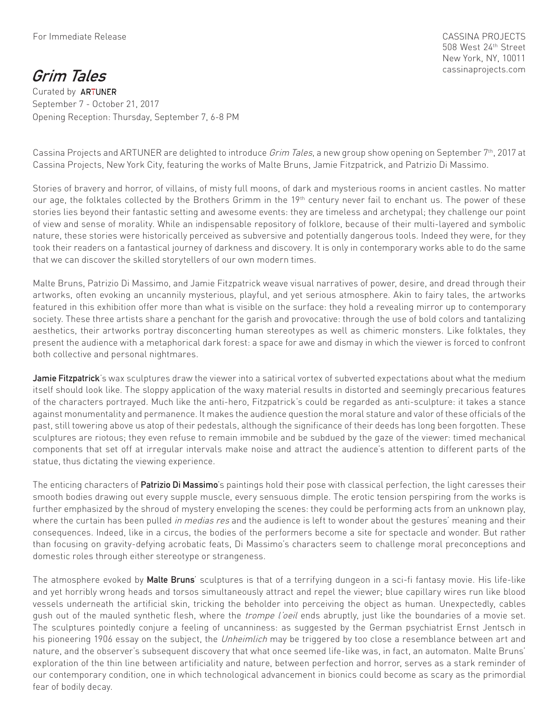CASSINA PROJECTS 508 West 24th Street New York, NY, 10011 cassinaprojects.com

**Grim Tales** Curated by **ARTUNER**  September 7 - October 21, 2017 Opening Reception: Thursday, September 7, 6-8 PM

Cassina Projects and ARTUNER are delighted to introduce *Grim Tales*, a new group show opening on September 7<sup>th</sup>, 2017 at Cassina Projects, New York City, featuring the works of Malte Bruns, Jamie Fitzpatrick, and Patrizio Di Massimo.

Stories of bravery and horror, of villains, of misty full moons, of dark and mysterious rooms in ancient castles. No matter our age, the folktales collected by the Brothers Grimm in the 19<sup>th</sup> century never fail to enchant us. The power of these stories lies beyond their fantastic setting and awesome events: they are timeless and archetypal; they challenge our point of view and sense of morality. While an indispensable repository of folklore, because of their multi-layered and symbolic nature, these stories were historically perceived as subversive and potentially dangerous tools. Indeed they were, for they took their readers on a fantastical journey of darkness and discovery. It is only in contemporary works able to do the same that we can discover the skilled storytellers of our own modern times.

Malte Bruns, Patrizio Di Massimo, and Jamie Fitzpatrick weave visual narratives of power, desire, and dread through their artworks, often evoking an uncannily mysterious, playful, and yet serious atmosphere. Akin to fairy tales, the artworks featured in this exhibition offer more than what is visible on the surface: they hold a revealing mirror up to contemporary society. These three artists share a penchant for the garish and provocative: through the use of bold colors and tantalizing aesthetics, their artworks portray disconcerting human stereotypes as well as chimeric monsters. Like folktales, they present the audience with a metaphorical dark forest: a space for awe and dismay in which the viewer is forced to confront both collective and personal nightmares.

**Jamie Fitzpatrick**'s wax sculptures draw the viewer into a satirical vortex of subverted expectations about what the medium itself should look like. The sloppy application of the waxy material results in distorted and seemingly precarious features of the characters portrayed. Much like the anti-hero, Fitzpatrick's could be regarded as anti-sculpture: it takes a stance against monumentality and permanence. It makes the audience question the moral stature and valor of these officials of the past, still towering above us atop of their pedestals, although the significance of their deeds has long been forgotten. These sculptures are riotous; they even refuse to remain immobile and be subdued by the gaze of the viewer: timed mechanical components that set off at irregular intervals make noise and attract the audience's attention to different parts of the statue, thus dictating the viewing experience.

The enticing characters of **Patrizio Di Massimo**'s paintings hold their pose with classical perfection, the light caresses their smooth bodies drawing out every supple muscle, every sensuous dimple. The erotic tension perspiring from the works is further emphasized by the shroud of mystery enveloping the scenes: they could be performing acts from an unknown play, where the curtain has been pulled in medias res and the audience is left to wonder about the gestures' meaning and their consequences. Indeed, like in a circus, the bodies of the performers become a site for spectacle and wonder. But rather than focusing on gravity-defying acrobatic feats, Di Massimo's characters seem to challenge moral preconceptions and domestic roles through either stereotype or strangeness.

The atmosphere evoked by **Malte Bruns**' sculptures is that of a terrifying dungeon in a sci-fi fantasy movie. His life-like and yet horribly wrong heads and torsos simultaneously attract and repel the viewer; blue capillary wires run like blood vessels underneath the artificial skin, tricking the beholder into perceiving the object as human. Unexpectedly, cables gush out of the mauled synthetic flesh, where the *trompe l'oeil* ends abruptly, just like the boundaries of a movie set. The sculptures pointedly conjure a feeling of uncanniness: as suggested by the German psychiatrist Ernst Jentsch in his pioneering 1906 essay on the subject, the *Unheimlich* may be triggered by too close a resemblance between art and nature, and the observer's subsequent discovery that what once seemed life-like was, in fact, an automaton. Malte Bruns' exploration of the thin line between artificiality and nature, between perfection and horror, serves as a stark reminder of our contemporary condition, one in which technological advancement in bionics could become as scary as the primordial fear of bodily decay.